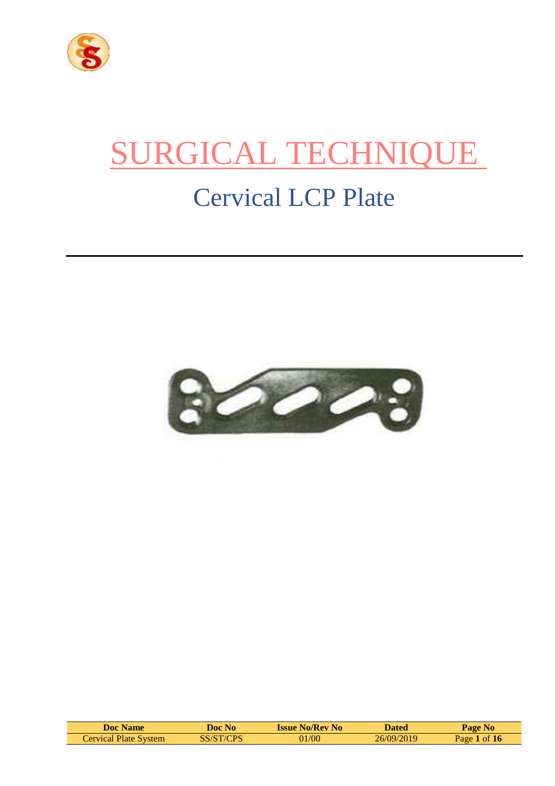

# SURGICAL TECHNIQUE

# Cervical LCP Plate



| Doc Name              | N <sub>0</sub><br>Doc . | <b>Issue No/Rev No</b> | <b>Dated</b> | Page No                        |
|-----------------------|-------------------------|------------------------|--------------|--------------------------------|
| Cervical Plate System | SS/ST/CPS               | 01/00                  | 26/09/2019   | $\blacktriangle$ of 16<br>Page |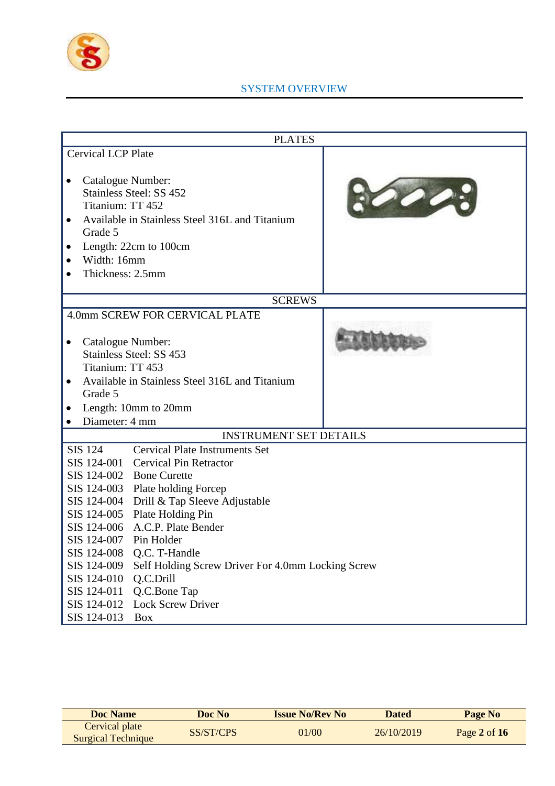

# SYSTEM OVERVIEW

|                                                                                                                                        | <b>PLATES</b>                                                                                                                                                                                                                                                                                                                                                                                   |  |  |  |  |
|----------------------------------------------------------------------------------------------------------------------------------------|-------------------------------------------------------------------------------------------------------------------------------------------------------------------------------------------------------------------------------------------------------------------------------------------------------------------------------------------------------------------------------------------------|--|--|--|--|
| <b>Cervical LCP Plate</b>                                                                                                              |                                                                                                                                                                                                                                                                                                                                                                                                 |  |  |  |  |
| Catalogue Number:<br>Titanium: TT 452<br>$\bullet$<br>Grade 5<br>Width: 16mm<br>Thickness: 2.5mm                                       | Stainless Steel: SS 452<br>Available in Stainless Steel 316L and Titanium<br>Length: 22cm to 100cm                                                                                                                                                                                                                                                                                              |  |  |  |  |
|                                                                                                                                        | <b>SCREWS</b>                                                                                                                                                                                                                                                                                                                                                                                   |  |  |  |  |
|                                                                                                                                        | 4.0mm SCREW FOR CERVICAL PLATE                                                                                                                                                                                                                                                                                                                                                                  |  |  |  |  |
| Catalogue Number:<br>٠<br>Titanium: TT 453                                                                                             | Stainless Steel: SS 453<br>Available in Stainless Steel 316L and Titanium                                                                                                                                                                                                                                                                                                                       |  |  |  |  |
| $\bullet$<br>Grade 5                                                                                                                   |                                                                                                                                                                                                                                                                                                                                                                                                 |  |  |  |  |
|                                                                                                                                        | Length: 10mm to 20mm                                                                                                                                                                                                                                                                                                                                                                            |  |  |  |  |
| Diameter: 4 mm                                                                                                                         |                                                                                                                                                                                                                                                                                                                                                                                                 |  |  |  |  |
|                                                                                                                                        | <b>INSTRUMENT SET DETAILS</b>                                                                                                                                                                                                                                                                                                                                                                   |  |  |  |  |
| <b>SIS 124</b><br>SIS 124-001<br>SIS 124-002<br>SIS 124-007<br>SIS 124-008<br>SIS 124-009<br>SIS 124-010<br>SIS 124-011<br>SIS 124-012 | <b>Cervical Plate Instruments Set</b><br><b>Cervical Pin Retractor</b><br><b>Bone Curette</b><br>SIS 124-003 Plate holding Forcep<br>SIS 124-004 Drill & Tap Sleeve Adjustable<br>SIS 124-005 Plate Holding Pin<br>SIS 124-006 A.C.P. Plate Bender<br>Pin Holder<br>Q.C. T-Handle<br>Self Holding Screw Driver For 4.0mm Locking Screw<br>Q.C.Drill<br>Q.C.Bone Tap<br><b>Lock Screw Driver</b> |  |  |  |  |
| SIS 124-013                                                                                                                            | <b>Box</b>                                                                                                                                                                                                                                                                                                                                                                                      |  |  |  |  |

| <b>Doc Name</b>                             | Doc No    | <b>Issue No/Rev No</b> | <b>Dated</b> | Page No        |
|---------------------------------------------|-----------|------------------------|--------------|----------------|
| Cervical plate<br><b>Surgical Technique</b> | SS/ST/CPS | 01/00                  | 26/10/2019   | Page 2 of $16$ |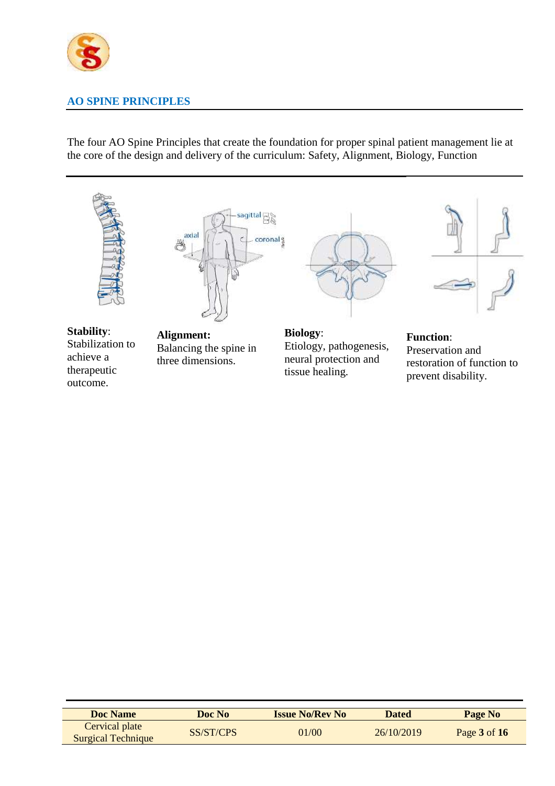

# **AO SPINE PRINCIPLES**

The four AO Spine Principles that create the foundation for proper spinal patient management lie at the core of the design and delivery of the curriculum: Safety, Alignment, Biology, Function



**Stability**: Stabilization to achieve a therapeutic outcome.



**Alignment:** Balancing the spine in three dimensions.



**Biology**: Etiology, pathogenesis, neural protection and tissue healing.



#### **Function**:

Preservation and restoration of function to prevent disability.

| <b>Doc</b> Name           | Doc No    | <b>Issue No/Rev No</b> | <b>Dated</b> | Page No          |
|---------------------------|-----------|------------------------|--------------|------------------|
| Cervical plate            | SS/ST/CPS | 01/00                  | 26/10/2019   | Page $3$ of $16$ |
| <b>Surgical Technique</b> |           |                        |              |                  |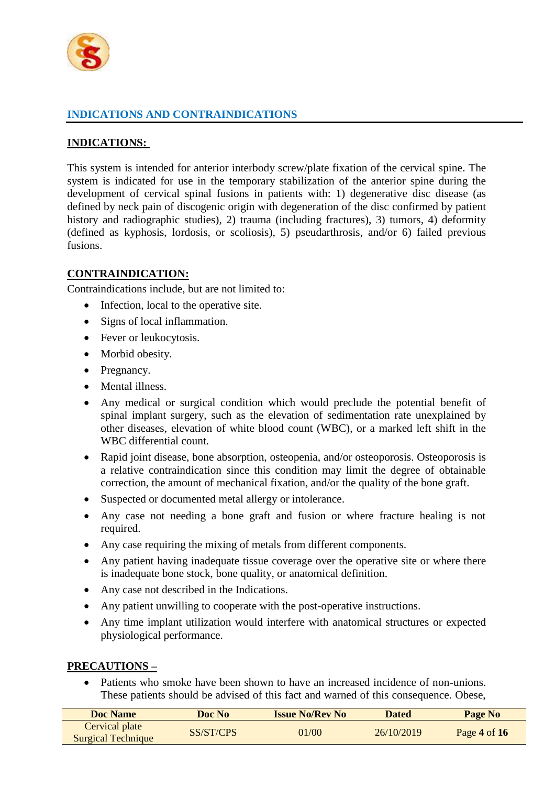

# **INDICATIONS AND CONTRAINDICATIONS**

#### **INDICATIONS:**

This system is intended for anterior interbody screw/plate fixation of the cervical spine. The system is indicated for use in the temporary stabilization of the anterior spine during the development of cervical spinal fusions in patients with: 1) degenerative disc disease (as defined by neck pain of discogenic origin with degeneration of the disc confirmed by patient history and radiographic studies), 2) trauma (including fractures), 3) tumors, 4) deformity (defined as kyphosis, lordosis, or scoliosis), 5) pseudarthrosis, and/or 6) failed previous fusions.

#### **CONTRAINDICATION:**

Contraindications include, but are not limited to:

- Infection, local to the operative site.
- Signs of local inflammation.
- Fever or leukocytosis.
- Morbid obesity.
- Pregnancy.
- Mental illness.
- Any medical or surgical condition which would preclude the potential benefit of spinal implant surgery, such as the elevation of sedimentation rate unexplained by other diseases, elevation of white blood count (WBC), or a marked left shift in the WBC differential count.
- Rapid joint disease, bone absorption, osteopenia, and/or osteoporosis. Osteoporosis is a relative contraindication since this condition may limit the degree of obtainable correction, the amount of mechanical fixation, and/or the quality of the bone graft.
- Suspected or documented metal allergy or intolerance.
- Any case not needing a bone graft and fusion or where fracture healing is not required.
- Any case requiring the mixing of metals from different components.
- Any patient having inadequate tissue coverage over the operative site or where there is inadequate bone stock, bone quality, or anatomical definition.
- Any case not described in the Indications.
- Any patient unwilling to cooperate with the post-operative instructions.
- Any time implant utilization would interfere with anatomical structures or expected physiological performance.

#### **PRECAUTIONS –**

 Patients who smoke have been shown to have an increased incidence of non-unions. These patients should be advised of this fact and warned of this consequence. Obese,

| <b>Doc Name</b>                             | Doc No    | <b>Issue No/Rev No</b> | Dated      | Page No        |
|---------------------------------------------|-----------|------------------------|------------|----------------|
| Cervical plate<br><b>Surgical Technique</b> | SS/ST/CPS | 01/00                  | 26/10/2019 | Page 4 of $16$ |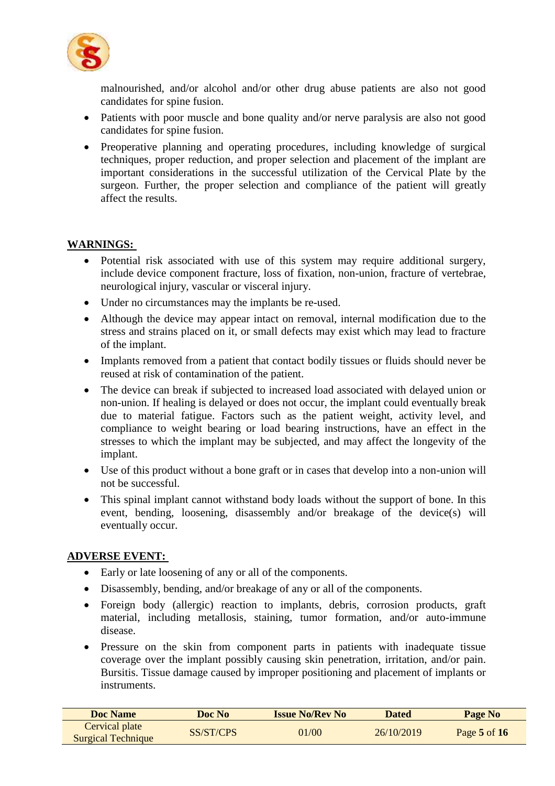

malnourished, and/or alcohol and/or other drug abuse patients are also not good candidates for spine fusion.

- Patients with poor muscle and bone quality and/or nerve paralysis are also not good candidates for spine fusion.
- Preoperative planning and operating procedures, including knowledge of surgical techniques, proper reduction, and proper selection and placement of the implant are important considerations in the successful utilization of the Cervical Plate by the surgeon. Further, the proper selection and compliance of the patient will greatly affect the results.

#### **WARNINGS:**

- Potential risk associated with use of this system may require additional surgery, include device component fracture, loss of fixation, non-union, fracture of vertebrae, neurological injury, vascular or visceral injury.
- Under no circumstances may the implants be re-used.
- Although the device may appear intact on removal, internal modification due to the stress and strains placed on it, or small defects may exist which may lead to fracture of the implant.
- Implants removed from a patient that contact bodily tissues or fluids should never be reused at risk of contamination of the patient.
- The device can break if subjected to increased load associated with delayed union or non-union. If healing is delayed or does not occur, the implant could eventually break due to material fatigue. Factors such as the patient weight, activity level, and compliance to weight bearing or load bearing instructions, have an effect in the stresses to which the implant may be subjected, and may affect the longevity of the implant.
- Use of this product without a bone graft or in cases that develop into a non-union will not be successful.
- This spinal implant cannot withstand body loads without the support of bone. In this event, bending, loosening, disassembly and/or breakage of the device(s) will eventually occur.

#### **ADVERSE EVENT:**

- Early or late loosening of any or all of the components.
- Disassembly, bending, and/or breakage of any or all of the components.
- Foreign body (allergic) reaction to implants, debris, corrosion products, graft material, including metallosis, staining, tumor formation, and/or auto-immune disease.
- Pressure on the skin from component parts in patients with inadequate tissue coverage over the implant possibly causing skin penetration, irritation, and/or pain. Bursitis. Tissue damage caused by improper positioning and placement of implants or instruments.

| Doc Name                                    | Doc No    | <b>Issue No/Rev No</b> | <b>Dated</b> | Page No          |
|---------------------------------------------|-----------|------------------------|--------------|------------------|
| Cervical plate<br><b>Surgical Technique</b> | SS/ST/CPS | 01/00                  | 26/10/2019   | Page $5$ of $16$ |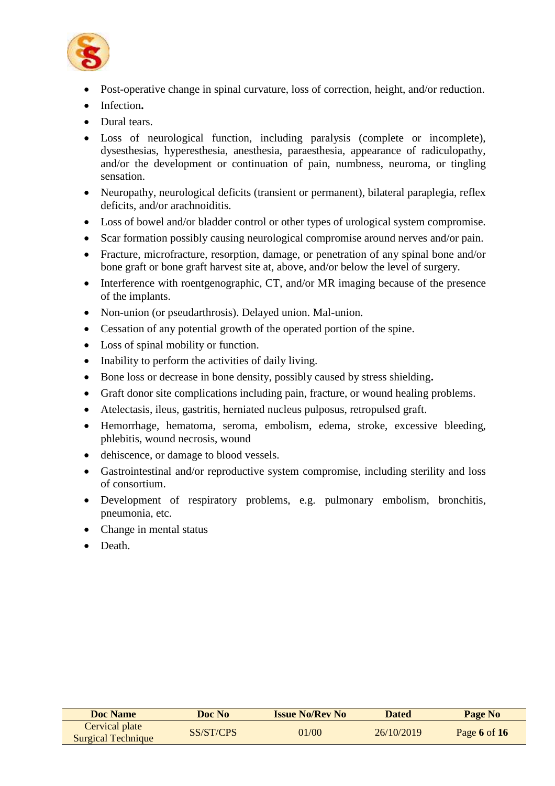

- Post-operative change in spinal curvature, loss of correction, height, and/or reduction.
- Infection**.**
- Dural tears.
- Loss of neurological function, including paralysis (complete or incomplete), dysesthesias, hyperesthesia, anesthesia, paraesthesia, appearance of radiculopathy, and/or the development or continuation of pain, numbness, neuroma, or tingling sensation.
- Neuropathy, neurological deficits (transient or permanent), bilateral paraplegia, reflex deficits, and/or arachnoiditis.
- Loss of bowel and/or bladder control or other types of urological system compromise.
- Scar formation possibly causing neurological compromise around nerves and/or pain.
- Fracture, microfracture, resorption, damage, or penetration of any spinal bone and/or bone graft or bone graft harvest site at, above, and/or below the level of surgery.
- Interference with roentgenographic, CT, and/or MR imaging because of the presence of the implants.
- Non-union (or pseudarthrosis). Delayed union. Mal-union.
- Cessation of any potential growth of the operated portion of the spine.
- Loss of spinal mobility or function.
- Inability to perform the activities of daily living.
- Bone loss or decrease in bone density, possibly caused by stress shielding**.**
- Graft donor site complications including pain, fracture, or wound healing problems.
- Atelectasis, ileus, gastritis, herniated nucleus pulposus, retropulsed graft.
- Hemorrhage, hematoma, seroma, embolism, edema, stroke, excessive bleeding, phlebitis, wound necrosis, wound
- dehiscence, or damage to blood vessels.
- Gastrointestinal and/or reproductive system compromise, including sterility and loss of consortium.
- Development of respiratory problems, e.g. pulmonary embolism, bronchitis, pneumonia, etc.
- Change in mental status
- Death.

| <b>Doc</b> Name                             | Doc No    | <b>Issue No/Rev No</b> | <b>Dated</b> | Page No        |
|---------------------------------------------|-----------|------------------------|--------------|----------------|
| Cervical plate<br><b>Surgical Technique</b> | SS/ST/CPS | 01/00                  | 26/10/2019   | Page 6 of $16$ |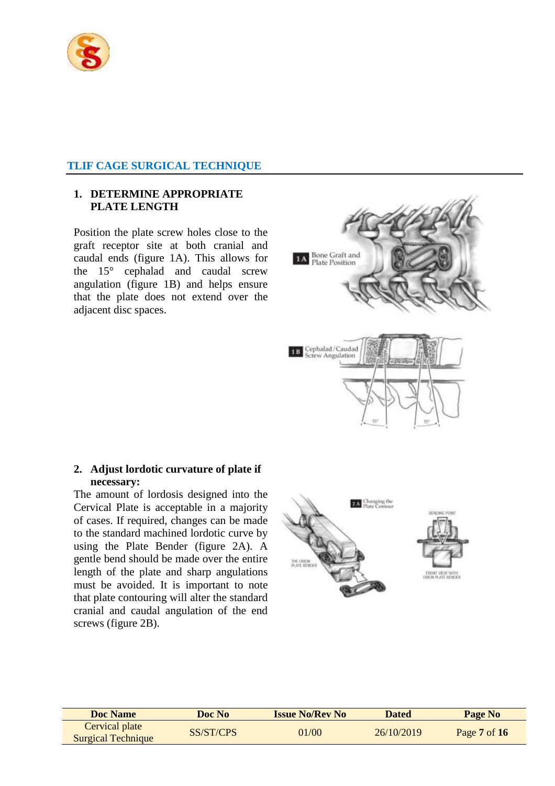

#### **TLIF CAGE SURGICAL TECHNIQUE**

#### **1. DETERMINE APPROPRIATE PLATE LENGTH**

Position the plate screw holes close to the graft receptor site at both cranial and caudal ends (figure 1A). This allows for the 15° cephalad and caudal screw angulation (figure 1B) and helps ensure that the plate does not extend over the adjacent disc spaces.



The amount of lordosis designed into the Cervical Plate is acceptable in a majority of cases. If required, changes can be made to the standard machined lordotic curve by using the Plate Bender (figure 2A). A gentle bend should be made over the entire length of the plate and sharp angulations must be avoided. It is important to note that plate contouring will alter the standard cranial and caudal angulation of the end screws (figure 2B).



**1A** Bone Graft and<br>Plate Position

Cephalad/Caudad

w Angulation

18

| <b>Doc</b> Name                             | Doc No    | <b>Issue No/Rev No</b> | <b>Dated</b> | Page No          |
|---------------------------------------------|-----------|------------------------|--------------|------------------|
| Cervical plate<br><b>Surgical Technique</b> | SS/ST/CPS | 01/00                  | 26/10/2019   | Page $7$ of $16$ |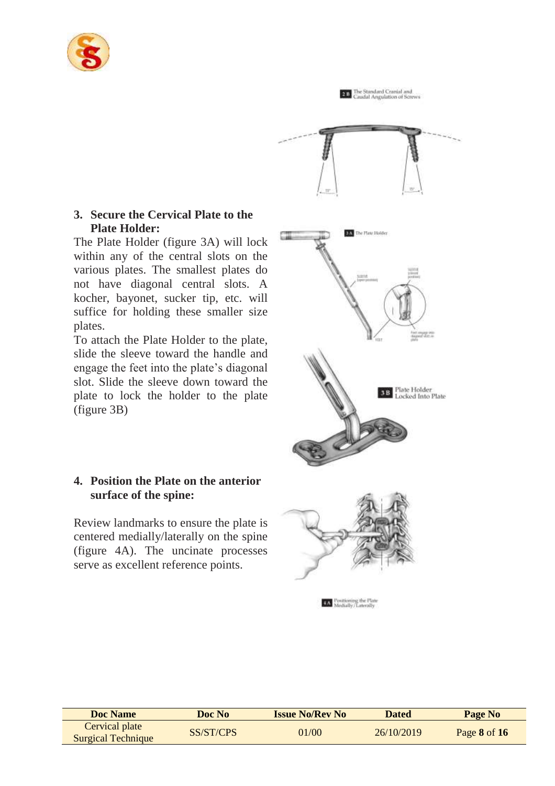

**20** The Standard Cranial and<br>Canadal Angulation of Scre **DAY** The Plate Holder siny **B** Plate Holder<br>Locked Into Plate

### **3. Secure the Cervical Plate to the Plate Holder:**

The Plate Holder (figure 3A) will lock within any of the central slots on the various plates. The smallest plates do not have diagonal central slots. A kocher, bayonet, sucker tip, etc. will suffice for holding these smaller size plates.

To attach the Plate Holder to the plate, slide the sleeve toward the handle and engage the feet into the plate's diagonal slot. Slide the sleeve down toward the plate to lock the holder to the plate (figure 3B)

# **4. Position the Plate on the anterior surface of the spine:**

Review landmarks to ensure the plate is centered medially/laterally on the spine (figure 4A). The uncinate processes serve as excellent reference points.



| <b>Doc Name</b>                             | Doc No    | <b>Issue No/Rev No</b> | <b>Dated</b> | Page No      |
|---------------------------------------------|-----------|------------------------|--------------|--------------|
| Cervical plate<br><b>Surgical Technique</b> | SS/ST/CPS | 01/00                  | 26/10/2019   | Page 8 of 16 |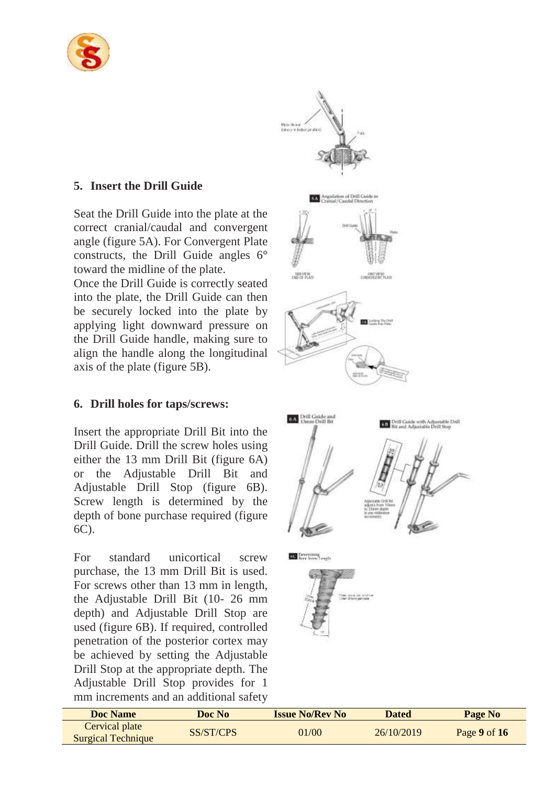

# **5. Insert the Drill Guide**

Seat the Drill Guide into the plate at the correct cranial/caudal and convergent angle (figure 5A). For Convergent Plate constructs, the Drill Guide angles 6° toward the midline of the plate.

Once the Drill Guide is correctly seated into the plate, the Drill Guide can then be securely locked into the plate by applying light downward pressure on the Drill Guide handle, making sure to align the handle along the longitudinal axis of the plate (figure 5B).

# **6. Drill holes for taps/screws:**

Insert the appropriate Drill Bit into the Drill Guide. Drill the screw holes using either the 13 mm Drill Bit (figure 6A) or the Adjustable Drill Bit and Adjustable Drill Stop (figure 6B). Screw length is determined by the depth of bone purchase required (figure 6C).

For standard unicortical screw purchase, the 13 mm Drill Bit is used. For screws other than 13 mm in length, the Adjustable Drill Bit (10- 26 mm depth) and Adjustable Drill Stop are used (figure 6B). If required, controlled penetration of the posterior cortex may be achieved by setting the Adjustable Drill Stop at the appropriate depth. The Adjustable Drill Stop provides for 1 mm increments and an additional safety







| Doc Name                                    | Doc No    | <b>Issue No/Rev No</b> | Dated      | Page No          |
|---------------------------------------------|-----------|------------------------|------------|------------------|
| Cervical plate<br><b>Surgical Technique</b> | SS/ST/CPS | 01/00                  | 26/10/2019 | Page $9$ of $16$ |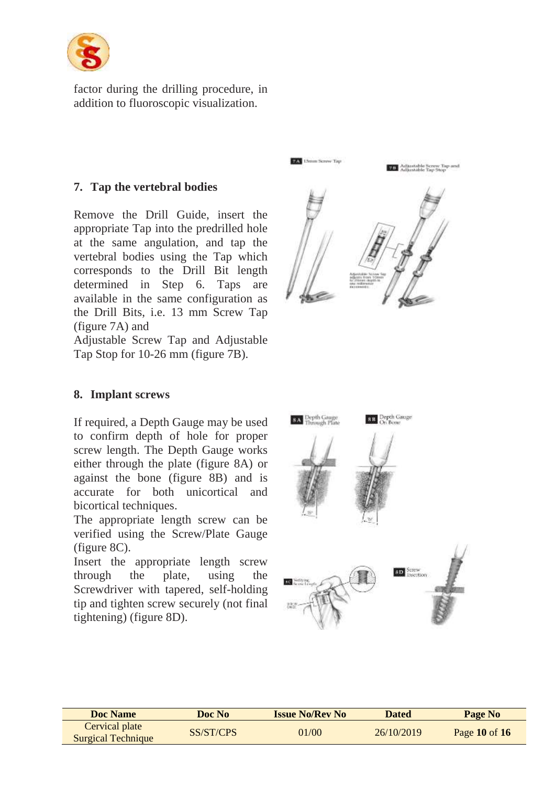

factor during the drilling procedure, in addition to fluoroscopic visualization.

# **7. Tap the vertebral bodies**

Remove the Drill Guide, insert the appropriate Tap into the predrilled hole at the same angulation, and tap the vertebral bodies using the Tap which corresponds to the Drill Bit length determined in Step 6. Taps are available in the same configuration as the Drill Bits, i.e. 13 mm Screw Tap (figure 7A) and

Adjustable Screw Tap and Adjustable Tap Stop for 10-26 mm (figure 7B).



# **8. Implant screws**

If required, a Depth Gauge may be used to confirm depth of hole for proper screw length. The Depth Gauge works either through the plate (figure 8A) or against the bone (figure 8B) and is accurate for both unicortical and bicortical techniques.

The appropriate length screw can be verified using the Screw/Plate Gauge (figure 8C).

Insert the appropriate length screw through the plate, using the Screwdriver with tapered, self-holding tip and tighten screw securely (not final tightening) (figure 8D).



| Doc Name                                    | Doc No    | <b>Issue No/Rev No</b> | Dated      | Page No           |
|---------------------------------------------|-----------|------------------------|------------|-------------------|
| Cervical plate<br><b>Surgical Technique</b> | SS/ST/CPS | 01/00                  | 26/10/2019 | Page $10$ of $16$ |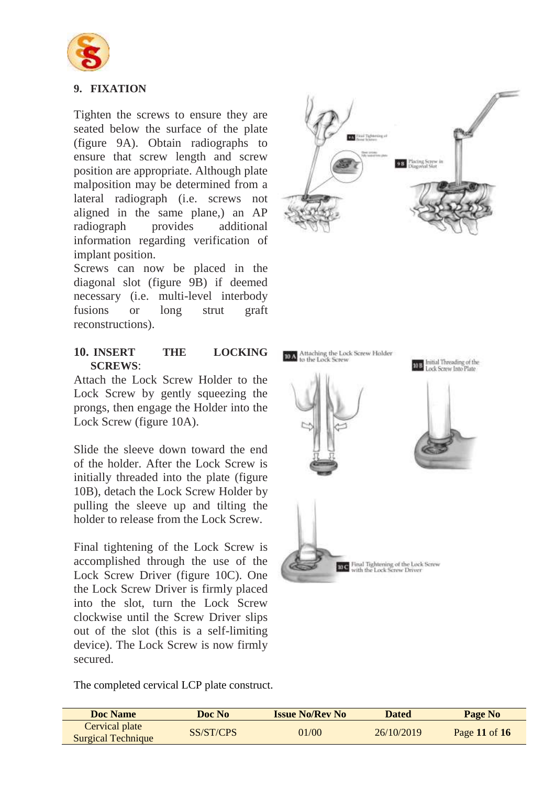

# **9. FIXATION**

Tighten the screws to ensure they are seated below the surface of the plate (figure 9A). Obtain radiographs to ensure that screw length and screw position are appropriate. Although plate malposition may be determined from a lateral radiograph (i.e. screws not aligned in the same plane,) an AP radiograph provides additional information regarding verification of implant position.

Screws can now be placed in the diagonal slot (figure 9B) if deemed necessary (i.e. multi-level interbody fusions or long strut graft reconstructions).

#### **10. INSERT THE LOCKING SCREWS**:

Attach the Lock Screw Holder to the Lock Screw by gently squeezing the prongs, then engage the Holder into the Lock Screw (figure 10A).

Slide the sleeve down toward the end of the holder. After the Lock Screw is initially threaded into the plate (figure 10B), detach the Lock Screw Holder by pulling the sleeve up and tilting the holder to release from the Lock Screw.

Final tightening of the Lock Screw is accomplished through the use of the Lock Screw Driver (figure 10C). One the Lock Screw Driver is firmly placed into the slot, turn the Lock Screw clockwise until the Screw Driver slips out of the slot (this is a self-limiting device). The Lock Screw is now firmly secured.

The completed cervical LCP plate construct.





| Doc Name                                    | Doc No    | <b>Issue No/Rev No</b> | <b>Dated</b> | Page No       |
|---------------------------------------------|-----------|------------------------|--------------|---------------|
| Cervical plate<br><b>Surgical Technique</b> | SS/ST/CPS | 01/00                  | 26/10/2019   | Page 11 of 16 |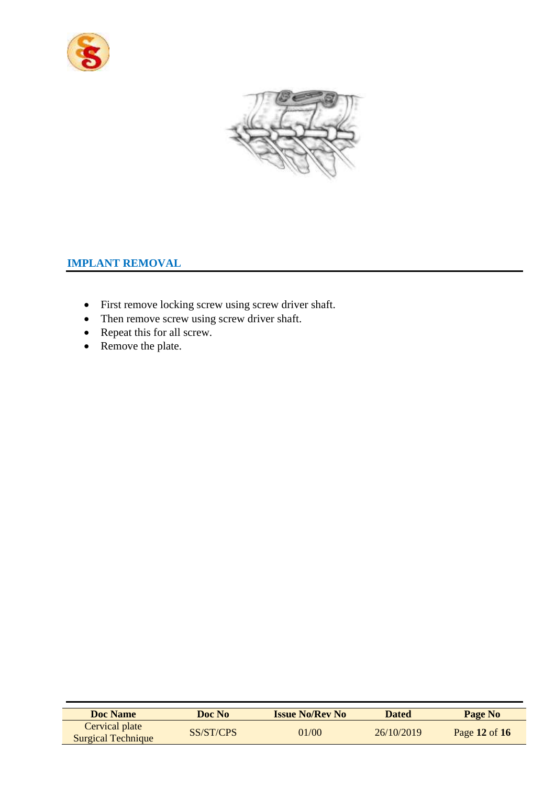



# **IMPLANT REMOVAL**

- First remove locking screw using screw driver shaft.
- Then remove screw using screw driver shaft.
- Repeat this for all screw.
- Remove the plate.

| <b>Doc Name</b>                             | Doc No    | <b>Issue No/Rev No</b> | <b>Dated</b> | Page No           |
|---------------------------------------------|-----------|------------------------|--------------|-------------------|
| Cervical plate<br><b>Surgical Technique</b> | SS/ST/CPS | 01/00                  | 26/10/2019   | Page $12$ of $16$ |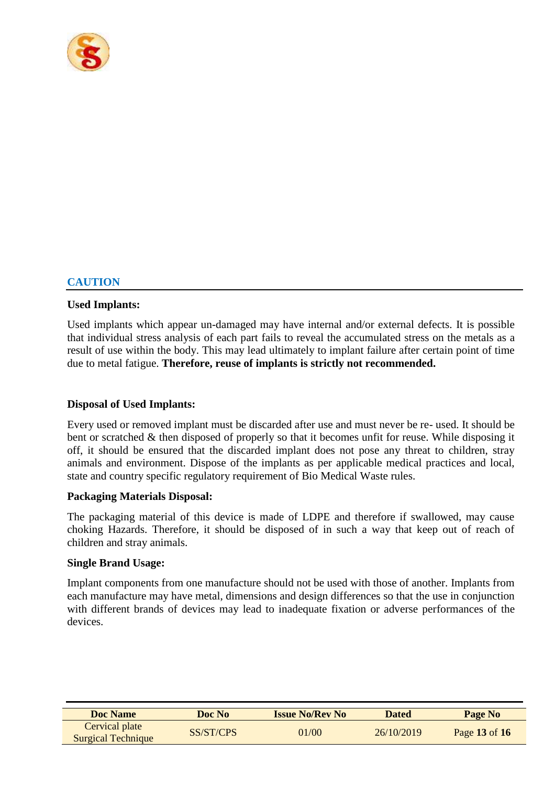

# **CAUTION**

#### **Used Implants:**

Used implants which appear un-damaged may have internal and/or external defects. It is possible that individual stress analysis of each part fails to reveal the accumulated stress on the metals as a result of use within the body. This may lead ultimately to implant failure after certain point of time due to metal fatigue. **Therefore, reuse of implants is strictly not recommended.**

#### **Disposal of Used Implants:**

Every used or removed implant must be discarded after use and must never be re- used. It should be bent or scratched & then disposed of properly so that it becomes unfit for reuse. While disposing it off, it should be ensured that the discarded implant does not pose any threat to children, stray animals and environment. Dispose of the implants as per applicable medical practices and local, state and country specific regulatory requirement of Bio Medical Waste rules.

#### **Packaging Materials Disposal:**

The packaging material of this device is made of LDPE and therefore if swallowed, may cause choking Hazards. Therefore, it should be disposed of in such a way that keep out of reach of children and stray animals.

#### **Single Brand Usage:**

Implant components from one manufacture should not be used with those of another. Implants from each manufacture may have metal, dimensions and design differences so that the use in conjunction with different brands of devices may lead to inadequate fixation or adverse performances of the devices.

| <b>Doc Name</b>                             | Doc No    | <b>Issue No/Rev No</b> | <b>Dated</b> | Page No       |
|---------------------------------------------|-----------|------------------------|--------------|---------------|
| Cervical plate<br><b>Surgical Technique</b> | SS/ST/CPS | 01/00                  | 26/10/2019   | Page 13 of 16 |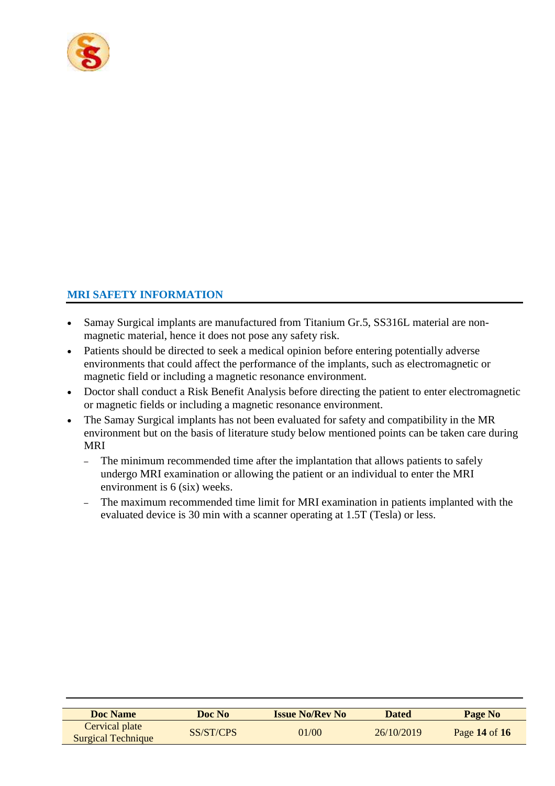

# **MRI SAFETY INFORMATION**

- Samay Surgical implants are manufactured from Titanium Gr.5, SS316L material are nonmagnetic material, hence it does not pose any safety risk.
- Patients should be directed to seek a medical opinion before entering potentially adverse environments that could affect the performance of the implants, such as electromagnetic or magnetic field or including a magnetic resonance environment.
- Doctor shall conduct a Risk Benefit Analysis before directing the patient to enter electromagnetic or magnetic fields or including a magnetic resonance environment.
- The Samay Surgical implants has not been evaluated for safety and compatibility in the MR environment but on the basis of literature study below mentioned points can be taken care during MRI
	- The minimum recommended time after the implantation that allows patients to safely undergo MRI examination or allowing the patient or an individual to enter the MRI environment is 6 (six) weeks.
	- The maximum recommended time limit for MRI examination in patients implanted with the evaluated device is 30 min with a scanner operating at 1.5T (Tesla) or less.

| <b>Doc Name</b>           | Doc No    | <b>Issue No/Rev No</b> | <b>Dated</b> | Page No       |
|---------------------------|-----------|------------------------|--------------|---------------|
| Cervical plate            | SS/ST/CPS | 01/00                  | 26/10/2019   | Page 14 of 16 |
| <b>Surgical Technique</b> |           |                        |              |               |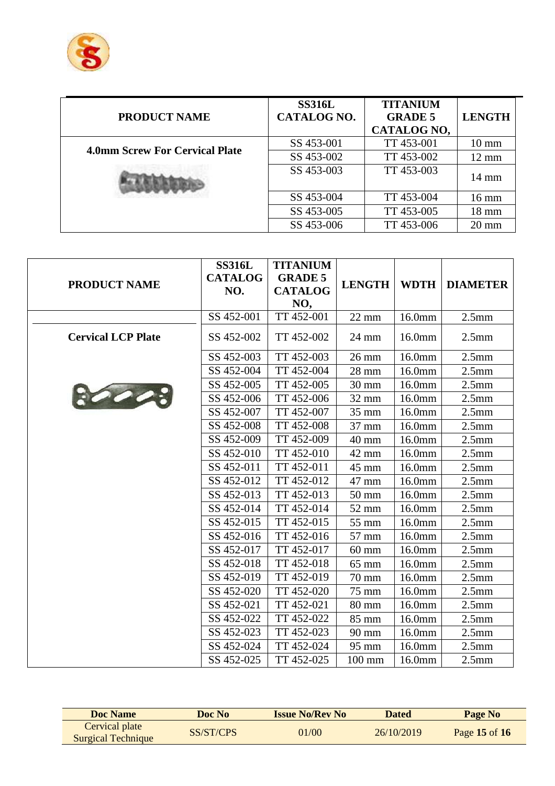

| <b>PRODUCT NAME</b>                   | <b>SS316L</b><br><b>CATALOG NO.</b> | <b>TITANIUM</b><br><b>GRADE 5</b><br><b>CATALOG NO,</b> | <b>LENGTH</b>   |
|---------------------------------------|-------------------------------------|---------------------------------------------------------|-----------------|
| <b>4.0mm Screw For Cervical Plate</b> | SS 453-001                          | TT 453-001                                              | $10 \text{ mm}$ |
|                                       | SS 453-002                          | TT 453-002                                              | $12 \text{ mm}$ |
|                                       | SS 453-003                          | TT 453-003                                              | $14 \text{ mm}$ |
|                                       | SS 453-004                          | TT 453-004                                              | $16 \text{ mm}$ |
|                                       | SS 453-005                          | TT 453-005                                              | $18 \text{ mm}$ |
|                                       | SS 453-006                          | TT 453-006                                              | $20 \text{ mm}$ |

|                           | <b>SS316L</b>  | <b>TITANIUM</b> |                  |             |                   |
|---------------------------|----------------|-----------------|------------------|-------------|-------------------|
| <b>PRODUCT NAME</b>       | <b>CATALOG</b> | <b>GRADE 5</b>  | <b>LENGTH</b>    | <b>WDTH</b> | <b>DIAMETER</b>   |
|                           | NO.            | <b>CATALOG</b>  |                  |             |                   |
|                           |                | NO,             |                  |             |                   |
|                           | SS 452-001     | TT 452-001      | $22 \text{ mm}$  | 16.0mm      | 2.5 <sub>mm</sub> |
| <b>Cervical LCP Plate</b> | SS 452-002     | TT 452-002      | 24 mm            | 16.0mm      | 2.5 <sub>mm</sub> |
|                           | SS 452-003     | TT 452-003      | $26 \text{ mm}$  | 16.0mm      | 2.5 <sub>mm</sub> |
|                           | SS 452-004     | TT 452-004      | 28 mm            | 16.0mm      | 2.5 <sub>mm</sub> |
|                           | SS 452-005     | TT 452-005      | 30 mm            | 16.0mm      | 2.5 <sub>mm</sub> |
|                           | SS 452-006     | TT 452-006      | 32 mm            | 16.0mm      | 2.5 <sub>mm</sub> |
|                           | SS 452-007     | TT 452-007      | 35 mm            | 16.0mm      | 2.5 <sub>mm</sub> |
|                           | SS 452-008     | TT 452-008      | 37 mm            | 16.0mm      | 2.5 <sub>mm</sub> |
|                           | SS 452-009     | TT 452-009      | 40 mm            | 16.0mm      | 2.5 <sub>mm</sub> |
|                           | SS 452-010     | TT 452-010      | 42 mm            | 16.0mm      | 2.5 <sub>mm</sub> |
|                           | SS 452-011     | TT 452-011      | 45 mm            | 16.0mm      | 2.5 <sub>mm</sub> |
|                           | SS 452-012     | TT 452-012      | 47 mm            | 16.0mm      | 2.5 <sub>mm</sub> |
|                           | SS 452-013     | TT 452-013      | $50 \text{ mm}$  | 16.0mm      | 2.5 <sub>mm</sub> |
|                           | SS 452-014     | TT 452-014      | 52 mm            | 16.0mm      | 2.5 <sub>mm</sub> |
|                           | SS 452-015     | TT 452-015      | 55 mm            | 16.0mm      | 2.5 <sub>mm</sub> |
|                           | SS 452-016     | TT 452-016      | 57 mm            | 16.0mm      | 2.5 <sub>mm</sub> |
|                           | SS 452-017     | TT 452-017      | $60 \text{ mm}$  | 16.0mm      | 2.5 <sub>mm</sub> |
|                           | SS 452-018     | TT 452-018      | 65 mm            | 16.0mm      | 2.5 <sub>mm</sub> |
|                           | SS 452-019     | TT 452-019      | 70 mm            | 16.0mm      | 2.5 <sub>mm</sub> |
|                           | SS 452-020     | TT 452-020      | 75 mm            | 16.0mm      | 2.5 <sub>mm</sub> |
|                           | SS 452-021     | TT 452-021      | $80 \text{ mm}$  | 16.0mm      | 2.5 <sub>mm</sub> |
|                           | SS 452-022     | TT 452-022      | 85 mm            | 16.0mm      | 2.5 <sub>mm</sub> |
|                           | SS 452-023     | TT 452-023      | 90 mm            | 16.0mm      | 2.5 <sub>mm</sub> |
|                           | SS 452-024     | TT 452-024      | 95 mm            | 16.0mm      | 2.5 <sub>mm</sub> |
|                           | SS 452-025     | TT 452-025      | $100 \text{ mm}$ | 16.0mm      | 2.5 <sub>mm</sub> |

| <b>Doc Name</b>                             | Doc No    | <b>Issue No/Rev No</b> | Dated      | Page No       |
|---------------------------------------------|-----------|------------------------|------------|---------------|
| Cervical plate<br><b>Surgical Technique</b> | SS/ST/CPS | 01/00                  | 26/10/2019 | Page 15 of 16 |